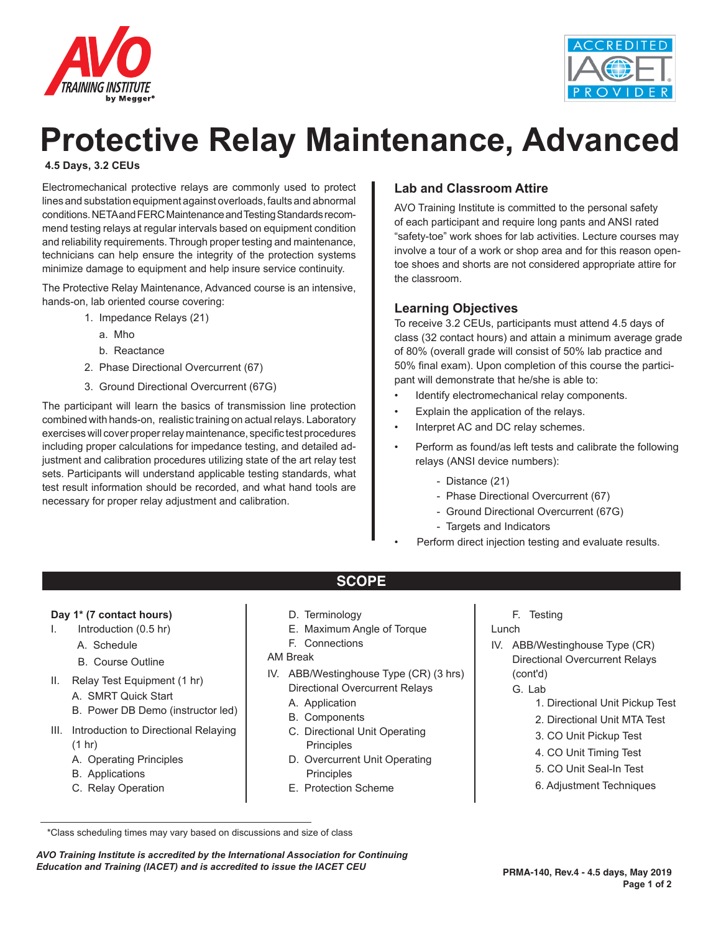



# **Protective Relay Maintenance, Advanced**

#### **4.5 Days, 3.2 CEUs**

Electromechanical protective relays are commonly used to protect lines and substation equipment against overloads, faults and abnormal conditions. NETA and FERC Maintenance and Testing Standards recommend testing relays at regular intervals based on equipment condition and reliability requirements. Through proper testing and maintenance, technicians can help ensure the integrity of the protection systems minimize damage to equipment and help insure service continuity.

The Protective Relay Maintenance, Advanced course is an intensive, hands-on, lab oriented course covering:

- 1. Impedance Relays (21)
	- a. Mho
	- b. Reactance
- 2. Phase Directional Overcurrent (67)
- 3. Ground Directional Overcurrent (67G)

The participant will learn the basics of transmission line protection combined with hands-on, realistic training on actual relays. Laboratory exercises will cover proper relay maintenance, specific test procedures including proper calculations for impedance testing, and detailed adjustment and calibration procedures utilizing state of the art relay test sets. Participants will understand applicable testing standards, what test result information should be recorded, and what hand tools are necessary for proper relay adjustment and calibration.

#### **Lab and Classroom Attire**

AVO Training Institute is committed to the personal safety of each participant and require long pants and ANSI rated "safety-toe" work shoes for lab activities. Lecture courses may involve a tour of a work or shop area and for this reason opentoe shoes and shorts are not considered appropriate attire for the classroom.

#### **Learning Objectives**

To receive 3.2 CEUs, participants must attend 4.5 days of class (32 contact hours) and attain a minimum average grade of 80% (overall grade will consist of 50% lab practice and 50% final exam). Upon completion of this course the participant will demonstrate that he/she is able to:

- Identify electromechanical relay components.
- Explain the application of the relays.
- Interpret AC and DC relay schemes.
- Perform as found/as left tests and calibrate the following relays (ANSI device numbers):
	- Distance (21)
	- Phase Directional Overcurrent (67)
	- Ground Directional Overcurrent (67G)
	- Targets and Indicators
	- Perform direct injection testing and evaluate results.

#### **Day 1\* (7 contact hours)**

- I. Introduction (0.5 hr)
	- A. Schedule
	- B. Course Outline
- II. Relay Test Equipment (1 hr)
	- A. SMRT Quick Start
	- B. Power DB Demo (instructor led)
- III. Introduction to Directional Relaying (1 hr)
	- A. Operating Principles
	- B. Applications
	- C. Relay Operation
- D. Terminology
- E. Maximum Angle of Torque

**SCOPE**

F. Connections

#### AM Break

- IV. ABB/Westinghouse Type (CR) (3 hrs) Directional Overcurrent Relays
	- A. Application
	- B. Components
	- C. Directional Unit Operating Principles
	- D. Overcurrent Unit Operating **Principles**
	- E. Protection Scheme

F. Testing

- Lunch
- IV. ABB/Westinghouse Type (CR) Directional Overcurrent Relays (cont'd)
	- G. Lab
		- 1. Directional Unit Pickup Test
		- 2. Directional Unit MTA Test
		- 3. CO Unit Pickup Test
		- 4. CO Unit Timing Test
		- 5. CO Unit Seal-In Test
		- 6. Adjustment Techniques

*AVO Training Institute is accredited by the International Association for Continuing Education and Training (IACET) and is accredited to issue the IACET CEU*

<sup>\*</sup>Class scheduling times may vary based on discussions and size of class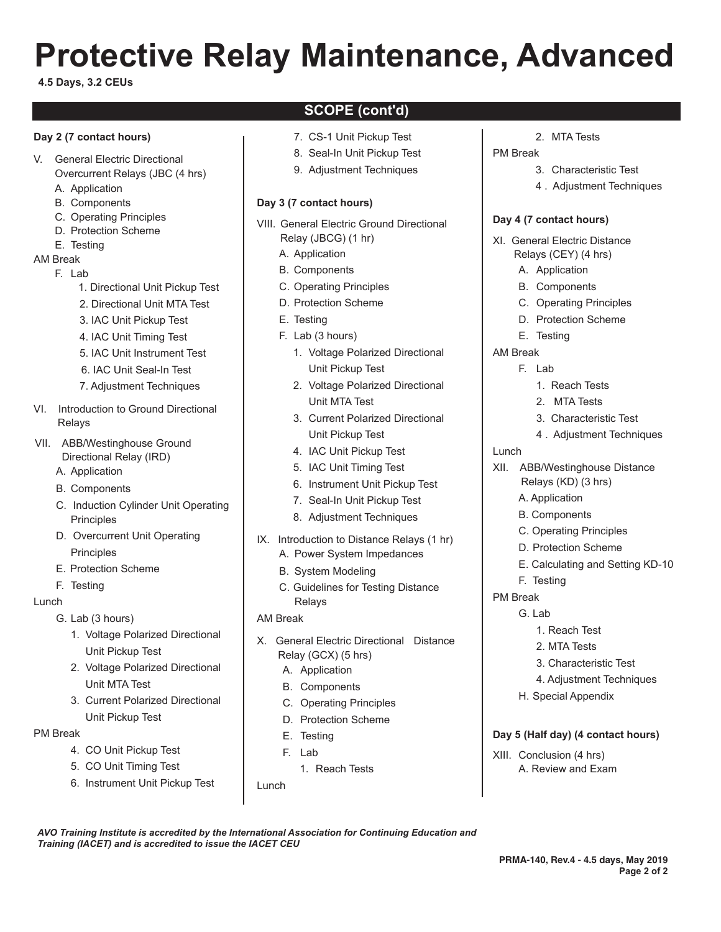# **Protective Relay Maintenance, Advanced**

#### **4.5 Days, 3.2 CEUs**

#### **Day 2 (7 contact hours)**

- V. General Electric Directional
	- Overcurrent Relays (JBC (4 hrs)
	- A. Application
	- B. Components
	- C. Operating Principles
	- D. Protection Scheme
- E. Testing
- AM Break
	- F. Lab
		- 1. Directional Unit Pickup Test
		- 2. Directional Unit MTA Test
		- 3. IAC Unit Pickup Test
		- 4. IAC Unit Timing Test
		- 5. IAC Unit Instrument Test
		- 6. IAC Unit Seal-In Test
		- 7. Adjustment Techniques
- VI. Introduction to Ground Directional Relays
- VII. ABB/Westinghouse Ground Directional Relay (IRD)
	- A. Application
	- B. Components
	- C. Induction Cylinder Unit Operating Principles
	- D. Overcurrent Unit Operating **Principles**
	- E. Protection Scheme
	- F. Testing

#### Lunch

G. Lab (3 hours)

- 1. Voltage Polarized Directional Unit Pickup Test
- 2. Voltage Polarized Directional Unit MTA Test
- 3. Current Polarized Directional Unit Pickup Test

#### PM Break

- 4. CO Unit Pickup Test
- 5. CO Unit Timing Test
- 6. Instrument Unit Pickup Test

*Training (IACET) and is accredited to issue the IACET CEU*

## **SCOPE (cont'd)**

- 7. CS-1 Unit Pickup Test
- 8. Seal-In Unit Pickup Test
- 9. Adjustment Techniques

#### **Day 3 (7 contact hours)**

- VIII. General Electric Ground Directional Relay (JBCG) (1 hr)
	- A. Application
	- B. Components
	- C. Operating Principles
	- D. Protection Scheme
	- E. Testing
	- F. Lab (3 hours)
		- 1. Voltage Polarized Directional Unit Pickup Test
		- 2. Voltage Polarized Directional Unit MTA Test
		- 3. Current Polarized Directional Unit Pickup Test
		- 4. IAC Unit Pickup Test
		- 5. IAC Unit Timing Test
		- 6. Instrument Unit Pickup Test
		- 7. Seal-In Unit Pickup Test
		- 8. Adjustment Techniques
- IX. Introduction to Distance Relays (1 hr)
	- A. Power System Impedances B. System Modeling
	- C. Guidelines for Testing Distance Relays

#### AM Break

- X. General Electric Directional Distance Relay (GCX) (5 hrs)
	- A. Application
	- B. Components
	- C. Operating Principles
	- D. Protection Scheme
	- E. Testing
	- F. Lab
		- 1. Reach Tests

Lunch

*AVO Training Institute is accredited by the International Association for Continuing Education and* 

2. MTA Tests

#### PM Break

- 3. Characteristic Test
- 4 . Adjustment Techniques

#### **Day 4 (7 contact hours)**

- XI. General Electric Distance Relays (CEY) (4 hrs)
	- A. Application
	- B. Components
	- C. Operating Principles
	- D. Protection Scheme
	- E. Testing
- AM Break
	- F. Lab
		- 1. Reach Tests
		- 2. MTA Tests
		- 3. Characteristic Test
		- 4 . Adjustment Techniques

#### Lunch

- XII. ABB/Westinghouse Distance Relays (KD) (3 hrs)
	- A. Application
	- B. Components
	- C. Operating Principles
	- D. Protection Scheme
	- E. Calculating and Setting KD-10
	- F. Testing
- PM Break
	- G. Lab
		- 1. Reach Test
		- 2. MTA Tests

H. Special Appendix

XIII. Conclusion (4 hrs)

**Day 5 (Half day) (4 contact hours)**

A. Review and Exam

3. Characteristic Test

**PRMA-140, Rev.4 - 4.5 days, May 2019**

**Page 2 of 2**

4. Adjustment Techniques